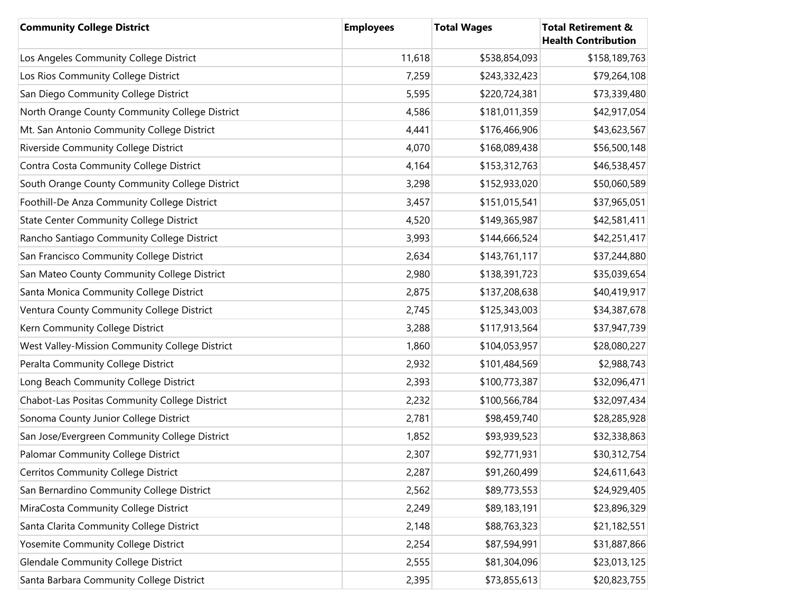| <b>Community College District</b>              | <b>Employees</b> | <b>Total Wages</b> | <b>Total Retirement &amp;</b><br><b>Health Contribution</b> |
|------------------------------------------------|------------------|--------------------|-------------------------------------------------------------|
| Los Angeles Community College District         | 11,618           | \$538,854,093      | \$158,189,763                                               |
| Los Rios Community College District            | 7,259            | \$243,332,423      | \$79,264,108                                                |
| San Diego Community College District           | 5,595            | \$220,724,381      | \$73,339,480                                                |
| North Orange County Community College District | 4,586            | \$181,011,359      | \$42,917,054                                                |
| Mt. San Antonio Community College District     | 4,441            | \$176,466,906      | \$43,623,567                                                |
| Riverside Community College District           | 4,070            | \$168,089,438      | \$56,500,148                                                |
| Contra Costa Community College District        | 4,164            | \$153,312,763      | \$46,538,457                                                |
| South Orange County Community College District | 3,298            | \$152,933,020      | \$50,060,589                                                |
| Foothill-De Anza Community College District    | 3,457            | \$151,015,541      | \$37,965,051                                                |
| <b>State Center Community College District</b> | 4,520            | \$149,365,987      | \$42,581,411                                                |
| Rancho Santiago Community College District     | 3,993            | \$144,666,524      | \$42,251,417                                                |
| San Francisco Community College District       | 2,634            | \$143,761,117      | \$37,244,880                                                |
| San Mateo County Community College District    | 2,980            | \$138,391,723      | \$35,039,654                                                |
| Santa Monica Community College District        | 2,875            | \$137,208,638      | \$40,419,917                                                |
| Ventura County Community College District      | 2,745            | \$125,343,003      | \$34,387,678                                                |
| Kern Community College District                | 3,288            | \$117,913,564      | \$37,947,739                                                |
| West Valley-Mission Community College District | 1,860            | \$104,053,957      | \$28,080,227                                                |
| Peralta Community College District             | 2,932            | \$101,484,569      | \$2,988,743                                                 |
| Long Beach Community College District          | 2,393            | \$100,773,387      | \$32,096,471                                                |
| Chabot-Las Positas Community College District  | 2,232            | \$100,566,784      | \$32,097,434                                                |
| Sonoma County Junior College District          | 2,781            | \$98,459,740       | \$28,285,928                                                |
| San Jose/Evergreen Community College District  | 1,852            | \$93,939,523       | \$32,338,863                                                |
| Palomar Community College District             | 2,307            | \$92,771,931       | \$30,312,754                                                |
| Cerritos Community College District            | 2,287            | \$91,260,499       | \$24,611,643                                                |
| San Bernardino Community College District      | 2,562            | \$89,773,553       | \$24,929,405                                                |
| MiraCosta Community College District           | 2,249            | \$89,183,191       | \$23,896,329                                                |
| Santa Clarita Community College District       | 2,148            | \$88,763,323       | \$21,182,551                                                |
| Yosemite Community College District            | 2,254            | \$87,594,991       | \$31,887,866                                                |
| <b>Glendale Community College District</b>     | 2,555            | \$81,304,096       | \$23,013,125                                                |
| Santa Barbara Community College District       | 2,395            | \$73,855,613       | \$20,823,755                                                |